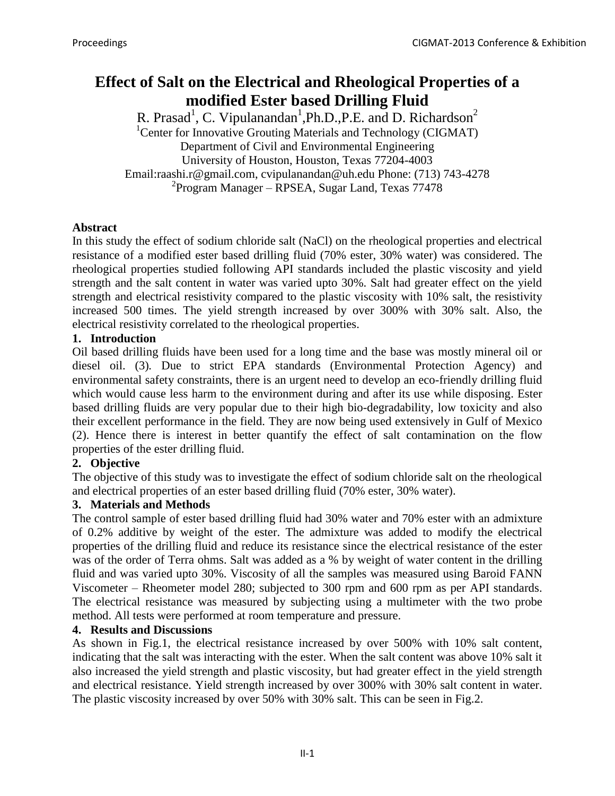# **Effect of Salt on the Electrical and Rheological Properties of a modified Ester based Drilling Fluid**

R. Prasad<sup>1</sup>, C. Vipulanandan<sup>1</sup>, Ph.D., P.E. and D. Richardson<sup>2</sup> <sup>1</sup>Center for Innovative Grouting Materials and Technology (CIGMAT) Department of Civil and Environmental Engineering University of Houston, Houston, Texas 77204-4003 Email:raashi.r@gmail.com, cvipulanandan@uh.edu Phone: (713) 743-4278 2 Program Manager – RPSEA, Sugar Land, Texas 77478

## **Abstract**

In this study the effect of sodium chloride salt (NaCl) on the rheological properties and electrical resistance of a modified ester based drilling fluid (70% ester, 30% water) was considered. The rheological properties studied following API standards included the plastic viscosity and yield strength and the salt content in water was varied upto 30%. Salt had greater effect on the yield strength and electrical resistivity compared to the plastic viscosity with 10% salt, the resistivity increased 500 times. The yield strength increased by over 300% with 30% salt. Also, the electrical resistivity correlated to the rheological properties.

## **1. Introduction**

Oil based drilling fluids have been used for a long time and the base was mostly mineral oil or diesel oil. (3)*.* Due to strict EPA standards (Environmental Protection Agency) and environmental safety constraints, there is an urgent need to develop an eco-friendly drilling fluid which would cause less harm to the environment during and after its use while disposing. Ester based drilling fluids are very popular due to their high bio-degradability, low toxicity and also their excellent performance in the field. They are now being used extensively in Gulf of Mexico (2). Hence there is interest in better quantify the effect of salt contamination on the flow properties of the ester drilling fluid.

# **2. Objective**

The objective of this study was to investigate the effect of sodium chloride salt on the rheological and electrical properties of an ester based drilling fluid (70% ester, 30% water).

# **3. Materials and Methods**

The control sample of ester based drilling fluid had 30% water and 70% ester with an admixture of 0.2% additive by weight of the ester. The admixture was added to modify the electrical properties of the drilling fluid and reduce its resistance since the electrical resistance of the ester was of the order of Terra ohms. Salt was added as a % by weight of water content in the drilling fluid and was varied upto 30%. Viscosity of all the samples was measured using Baroid FANN Viscometer – Rheometer model 280; subjected to 300 rpm and 600 rpm as per API standards. The electrical resistance was measured by subjecting using a multimeter with the two probe method. All tests were performed at room temperature and pressure.

#### **4. Results and Discussions**

As shown in Fig.1, the electrical resistance increased by over 500% with 10% salt content, indicating that the salt was interacting with the ester. When the salt content was above 10% salt it also increased the yield strength and plastic viscosity, but had greater effect in the yield strength and electrical resistance. Yield strength increased by over 300% with 30% salt content in water. The plastic viscosity increased by over 50% with 30% salt. This can be seen in Fig.2.